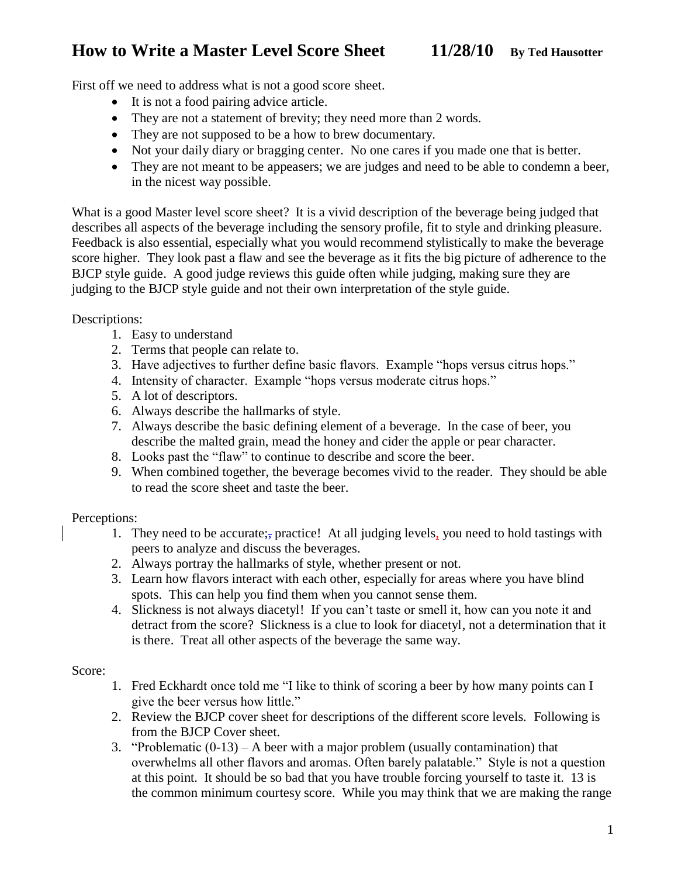# **How to Write a Master Level Score Sheet 11/28/10 By Ted Hausotter**

First off we need to address what is not a good score sheet.

- It is not a food pairing advice article.
- They are not a statement of brevity; they need more than 2 words.
- They are not supposed to be a how to brew documentary.
- Not your daily diary or bragging center. No one cares if you made one that is better.
- They are not meant to be appeasers; we are judges and need to be able to condemn a beer, in the nicest way possible.

What is a good Master level score sheet? It is a vivid description of the beverage being judged that describes all aspects of the beverage including the sensory profile, fit to style and drinking pleasure. Feedback is also essential, especially what you would recommend stylistically to make the beverage score higher. They look past a flaw and see the beverage as it fits the big picture of adherence to the BJCP style guide. A good judge reviews this guide often while judging, making sure they are judging to the BJCP style guide and not their own interpretation of the style guide.

Descriptions:

- 1. Easy to understand
- 2. Terms that people can relate to.
- 3. Have adjectives to further define basic flavors. Example "hops versus citrus hops."
- 4. Intensity of character. Example "hops versus moderate citrus hops."
- 5. A lot of descriptors.
- 6. Always describe the hallmarks of style.
- 7. Always describe the basic defining element of a beverage. In the case of beer, you describe the malted grain, mead the honey and cider the apple or pear character.
- 8. Looks past the "flaw" to continue to describe and score the beer.
- 9. When combined together, the beverage becomes vivid to the reader. They should be able to read the score sheet and taste the beer.

Perceptions:

- 1. They need to be accurate;, practice! At all judging levels, you need to hold tastings with peers to analyze and discuss the beverages.
- 2. Always portray the hallmarks of style, whether present or not.
- 3. Learn how flavors interact with each other, especially for areas where you have blind spots. This can help you find them when you cannot sense them.
- 4. Slickness is not always diacetyl! If you can't taste or smell it, how can you note it and detract from the score? Slickness is a clue to look for diacetyl, not a determination that it is there. Treat all other aspects of the beverage the same way.

### Score:

- 1. Fred Eckhardt once told me "I like to think of scoring a beer by how many points can I give the beer versus how little."
- 2. Review the BJCP cover sheet for descriptions of the different score levels. Following is from the BJCP Cover sheet.
- 3. "Problematic (0-13) A beer with a major problem (usually contamination) that overwhelms all other flavors and aromas. Often barely palatable." Style is not a question at this point. It should be so bad that you have trouble forcing yourself to taste it. 13 is the common minimum courtesy score. While you may think that we are making the range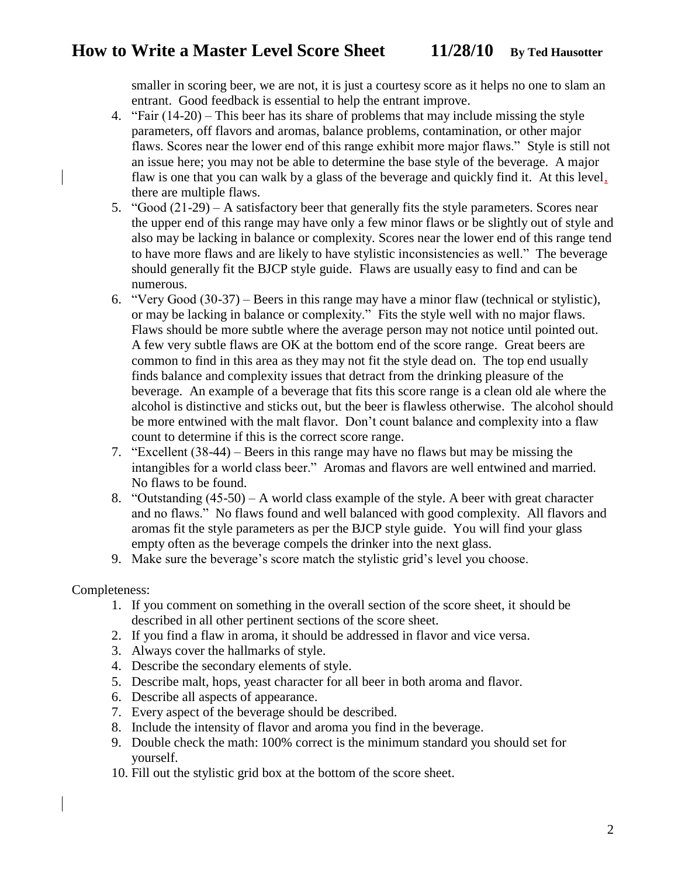### **How to Write a Master Level Score Sheet 11/28/10 By Ted Hausotter**

smaller in scoring beer, we are not, it is just a courtesy score as it helps no one to slam an entrant. Good feedback is essential to help the entrant improve.

- 4. "Fair (14-20) This beer has its share of problems that may include missing the style parameters, off flavors and aromas, balance problems, contamination, or other major flaws. Scores near the lower end of this range exhibit more major flaws." Style is still not an issue here; you may not be able to determine the base style of the beverage. A major flaw is one that you can walk by a glass of the beverage and quickly find it. At this level, there are multiple flaws.
- 5. "Good (21-29) A satisfactory beer that generally fits the style parameters. Scores near the upper end of this range may have only a few minor flaws or be slightly out of style and also may be lacking in balance or complexity. Scores near the lower end of this range tend to have more flaws and are likely to have stylistic inconsistencies as well." The beverage should generally fit the BJCP style guide. Flaws are usually easy to find and can be numerous.
- 6. "Very Good (30-37) Beers in this range may have a minor flaw (technical or stylistic), or may be lacking in balance or complexity." Fits the style well with no major flaws. Flaws should be more subtle where the average person may not notice until pointed out. A few very subtle flaws are OK at the bottom end of the score range. Great beers are common to find in this area as they may not fit the style dead on. The top end usually finds balance and complexity issues that detract from the drinking pleasure of the beverage. An example of a beverage that fits this score range is a clean old ale where the alcohol is distinctive and sticks out, but the beer is flawless otherwise. The alcohol should be more entwined with the malt flavor. Don't count balance and complexity into a flaw count to determine if this is the correct score range.
- 7. "Excellent (38-44) Beers in this range may have no flaws but may be missing the intangibles for a world class beer." Aromas and flavors are well entwined and married. No flaws to be found.
- 8. "Outstanding (45-50) A world class example of the style. A beer with great character and no flaws." No flaws found and well balanced with good complexity. All flavors and aromas fit the style parameters as per the BJCP style guide. You will find your glass empty often as the beverage compels the drinker into the next glass.
- 9. Make sure the beverage's score match the stylistic grid's level you choose.

### Completeness:

- 1. If you comment on something in the overall section of the score sheet, it should be described in all other pertinent sections of the score sheet.
- 2. If you find a flaw in aroma, it should be addressed in flavor and vice versa.
- 3. Always cover the hallmarks of style.
- 4. Describe the secondary elements of style.
- 5. Describe malt, hops, yeast character for all beer in both aroma and flavor.
- 6. Describe all aspects of appearance.
- 7. Every aspect of the beverage should be described.
- 8. Include the intensity of flavor and aroma you find in the beverage.
- 9. Double check the math: 100% correct is the minimum standard you should set for yourself.
- 10. Fill out the stylistic grid box at the bottom of the score sheet.